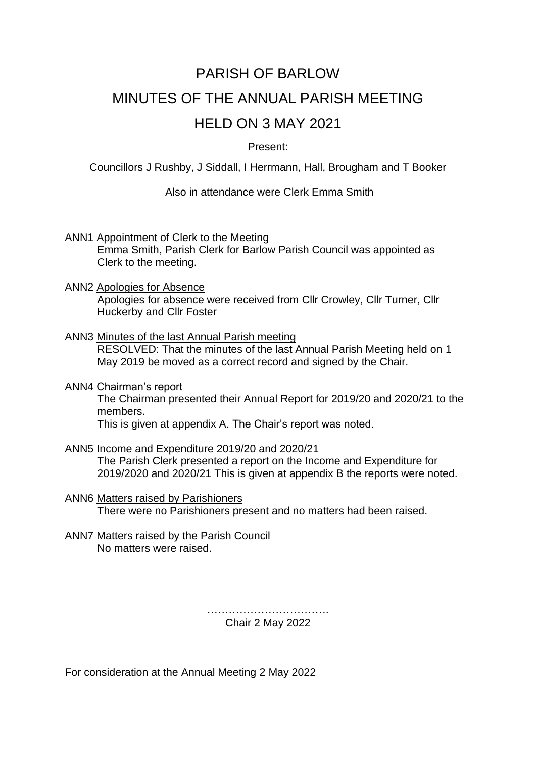# PARISH OF BARLOW MINUTES OF THE ANNUAL PARISH MEETING HELD ON 3 MAY 2021

# Present:

Councillors J Rushby, J Siddall, I Herrmann, Hall, Brougham and T Booker

Also in attendance were Clerk Emma Smith

ANN1 Appointment of Clerk to the Meeting

Emma Smith, Parish Clerk for Barlow Parish Council was appointed as Clerk to the meeting.

#### ANN2 Apologies for Absence

Apologies for absence were received from Cllr Crowley, Cllr Turner, Cllr Huckerby and Cllr Foster

# ANN3 Minutes of the last Annual Parish meeting

RESOLVED: That the minutes of the last Annual Parish Meeting held on 1 May 2019 be moved as a correct record and signed by the Chair.

#### ANN4 Chairman's report

The Chairman presented their Annual Report for 2019/20 and 2020/21 to the members.

This is given at appendix A. The Chair's report was noted.

# ANN5 Income and Expenditure 2019/20 and 2020/21

The Parish Clerk presented a report on the Income and Expenditure for 2019/2020 and 2020/21 This is given at appendix B the reports were noted.

#### ANN6 Matters raised by Parishioners

There were no Parishioners present and no matters had been raised.

#### ANN7 Matters raised by the Parish Council No matters were raised.

……………………………. Chair 2 May 2022

For consideration at the Annual Meeting 2 May 2022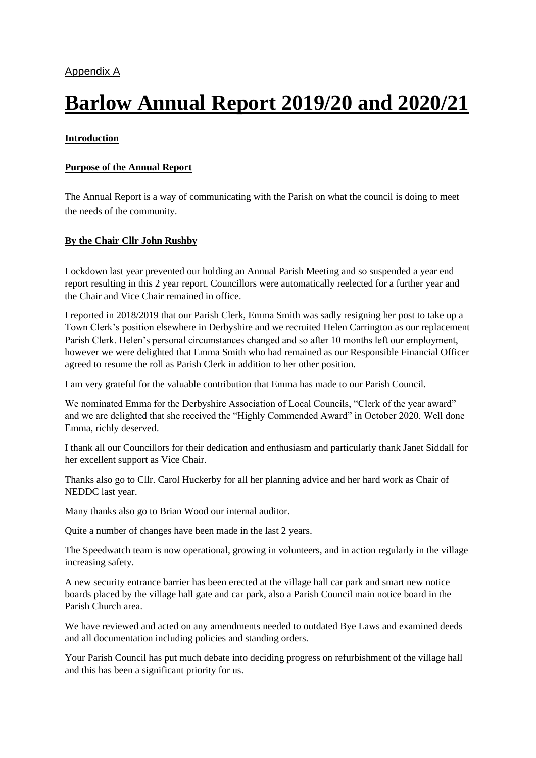# **Barlow Annual Report 2019/20 and 2020/21**

#### **Introduction**

#### **Purpose of the Annual Report**

The Annual Report is a way of communicating with the Parish on what the council is doing to meet the needs of the community.

#### **By the Chair Cllr John Rushby**

Lockdown last year prevented our holding an Annual Parish Meeting and so suspended a year end report resulting in this 2 year report. Councillors were automatically reelected for a further year and the Chair and Vice Chair remained in office.

I reported in 2018/2019 that our Parish Clerk, Emma Smith was sadly resigning her post to take up a Town Clerk's position elsewhere in Derbyshire and we recruited Helen Carrington as our replacement Parish Clerk. Helen's personal circumstances changed and so after 10 months left our employment, however we were delighted that Emma Smith who had remained as our Responsible Financial Officer agreed to resume the roll as Parish Clerk in addition to her other position.

I am very grateful for the valuable contribution that Emma has made to our Parish Council.

We nominated Emma for the Derbyshire Association of Local Councils, "Clerk of the year award" and we are delighted that she received the "Highly Commended Award" in October 2020. Well done Emma, richly deserved.

I thank all our Councillors for their dedication and enthusiasm and particularly thank Janet Siddall for her excellent support as Vice Chair.

Thanks also go to Cllr. Carol Huckerby for all her planning advice and her hard work as Chair of NEDDC last year.

Many thanks also go to Brian Wood our internal auditor.

Quite a number of changes have been made in the last 2 years.

The Speedwatch team is now operational, growing in volunteers, and in action regularly in the village increasing safety.

A new security entrance barrier has been erected at the village hall car park and smart new notice boards placed by the village hall gate and car park, also a Parish Council main notice board in the Parish Church area.

We have reviewed and acted on any amendments needed to outdated Bye Laws and examined deeds and all documentation including policies and standing orders.

Your Parish Council has put much debate into deciding progress on refurbishment of the village hall and this has been a significant priority for us.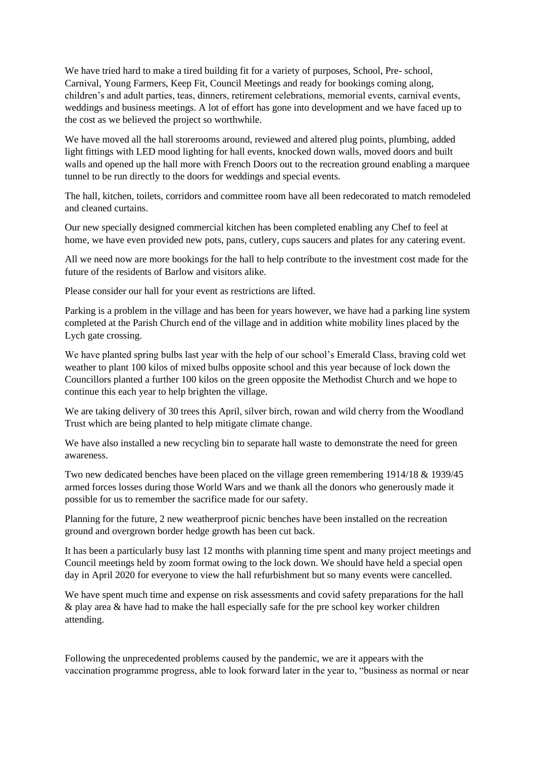We have tried hard to make a tired building fit for a variety of purposes, School, Pre- school, Carnival, Young Farmers, Keep Fit, Council Meetings and ready for bookings coming along, children's and adult parties, teas, dinners, retirement celebrations, memorial events, carnival events, weddings and business meetings. A lot of effort has gone into development and we have faced up to the cost as we believed the project so worthwhile.

We have moved all the hall storerooms around, reviewed and altered plug points, plumbing, added light fittings with LED mood lighting for hall events, knocked down walls, moved doors and built walls and opened up the hall more with French Doors out to the recreation ground enabling a marquee tunnel to be run directly to the doors for weddings and special events.

The hall, kitchen, toilets, corridors and committee room have all been redecorated to match remodeled and cleaned curtains.

Our new specially designed commercial kitchen has been completed enabling any Chef to feel at home, we have even provided new pots, pans, cutlery, cups saucers and plates for any catering event.

All we need now are more bookings for the hall to help contribute to the investment cost made for the future of the residents of Barlow and visitors alike.

Please consider our hall for your event as restrictions are lifted.

Parking is a problem in the village and has been for years however, we have had a parking line system completed at the Parish Church end of the village and in addition white mobility lines placed by the Lych gate crossing.

We have planted spring bulbs last year with the help of our school's Emerald Class, braving cold wet weather to plant 100 kilos of mixed bulbs opposite school and this year because of lock down the Councillors planted a further 100 kilos on the green opposite the Methodist Church and we hope to continue this each year to help brighten the village.

We are taking delivery of 30 trees this April, silver birch, rowan and wild cherry from the Woodland Trust which are being planted to help mitigate climate change.

We have also installed a new recycling bin to separate hall waste to demonstrate the need for green awareness.

Two new dedicated benches have been placed on the village green remembering 1914/18 & 1939/45 armed forces losses during those World Wars and we thank all the donors who generously made it possible for us to remember the sacrifice made for our safety.

Planning for the future, 2 new weatherproof picnic benches have been installed on the recreation ground and overgrown border hedge growth has been cut back.

It has been a particularly busy last 12 months with planning time spent and many project meetings and Council meetings held by zoom format owing to the lock down. We should have held a special open day in April 2020 for everyone to view the hall refurbishment but so many events were cancelled.

We have spent much time and expense on risk assessments and covid safety preparations for the hall & play area & have had to make the hall especially safe for the pre school key worker children attending.

Following the unprecedented problems caused by the pandemic, we are it appears with the vaccination programme progress, able to look forward later in the year to, "business as normal or near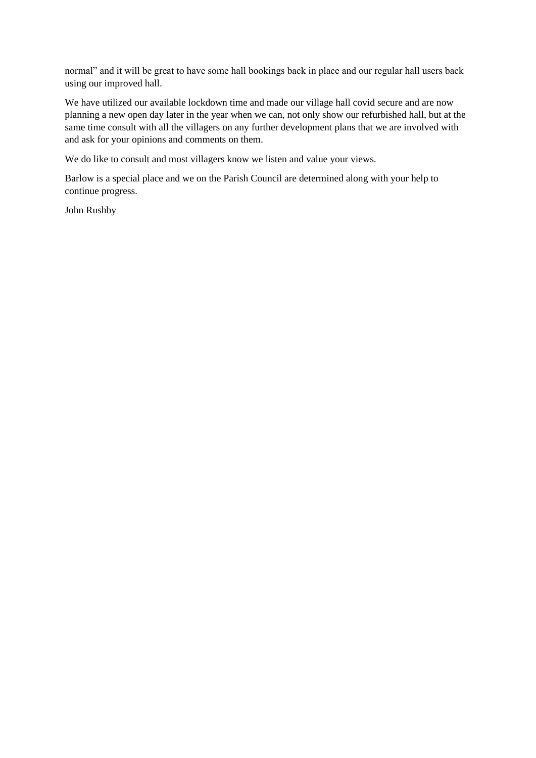normal" and it will be great to have some hall bookings back in place and our regular hall users back using our improved hall.

We have utilized our available lockdown time and made our village hall covid secure and are now planning a new open day later in the year when we can, not only show our refurbished hall, but at the same time consult with all the villagers on any further development plans that we are involved with and ask for your opinions and comments on them.

We do like to consult and most villagers know we listen and value your views.

Barlow is a special place and we on the Parish Council are determined along with your help to continue progress.

John Rushby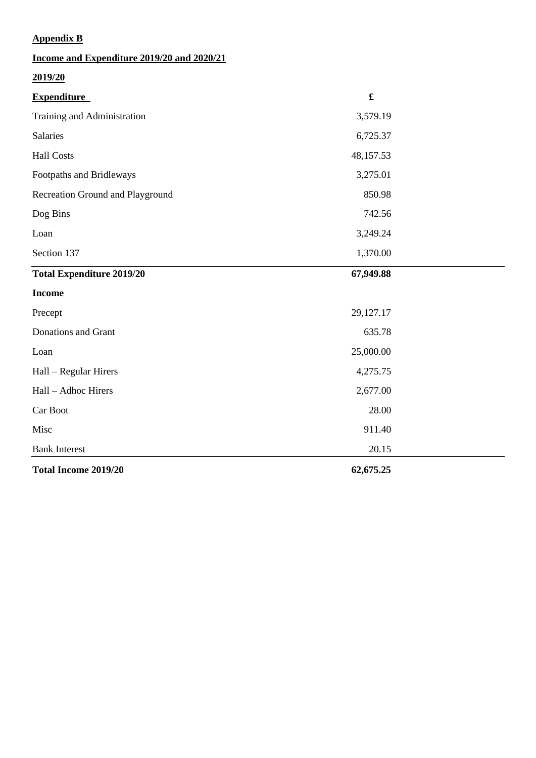# **Appendix B**

| Income and Expenditure 2019/20 and 2020/21 |                      |  |
|--------------------------------------------|----------------------|--|
| 2019/20                                    |                      |  |
| <b>Expenditure</b>                         | $\pmb{\mathfrak{L}}$ |  |
| Training and Administration                | 3,579.19             |  |
| <b>Salaries</b>                            | 6,725.37             |  |
| <b>Hall Costs</b>                          | 48,157.53            |  |
| Footpaths and Bridleways                   | 3,275.01             |  |
| Recreation Ground and Playground           | 850.98               |  |
| Dog Bins                                   | 742.56               |  |
| Loan                                       | 3,249.24             |  |
| Section 137                                | 1,370.00             |  |
| <b>Total Expenditure 2019/20</b>           | 67,949.88            |  |
| <b>Income</b>                              |                      |  |
| Precept                                    | 29,127.17            |  |
| Donations and Grant                        | 635.78               |  |
| Loan                                       | 25,000.00            |  |
| Hall - Regular Hirers                      | 4,275.75             |  |
| Hall - Adhoc Hirers                        | 2,677.00             |  |
| Car Boot                                   | 28.00                |  |
| Misc                                       | 911.40               |  |
| <b>Bank Interest</b>                       | 20.15                |  |
| <b>Total Income 2019/20</b>                | 62,675.25            |  |